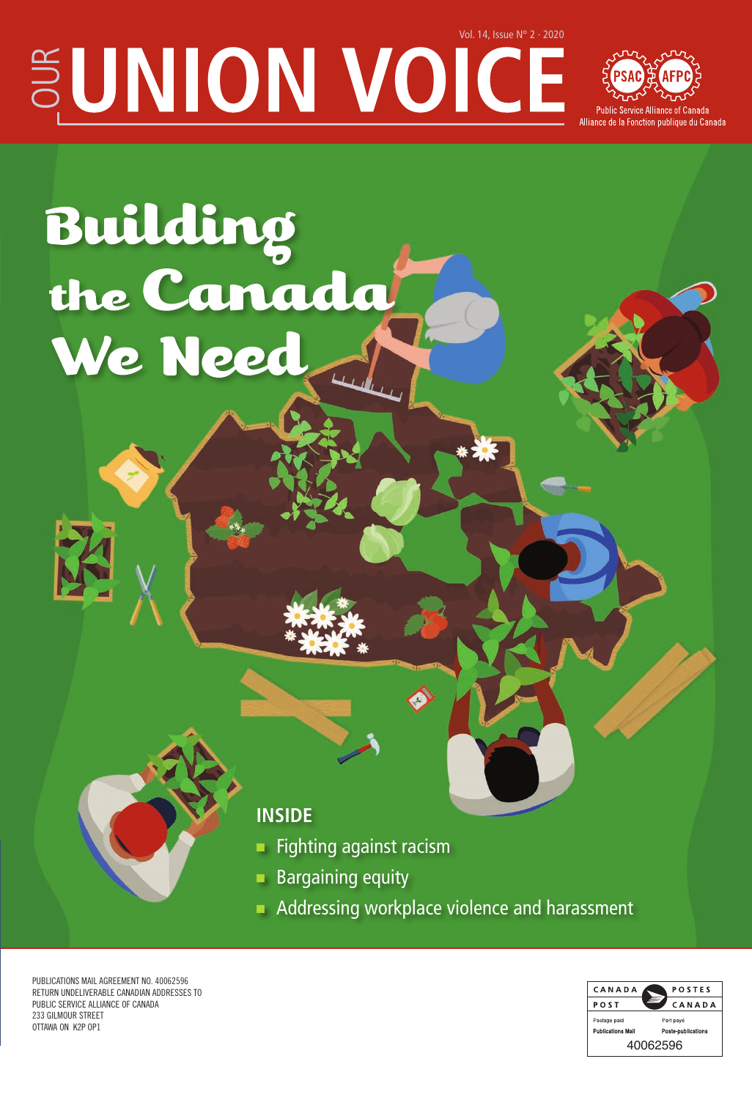# $\mathbb{E}$ UNION VOICE



# Building<br>the Canada We Need

# **INSIDE**

- Fighting against racism
- **Bargaining equity**
- Addressing workplace violence and harassment

PUBLICATIONS MAIL AGREEMENT NO. 40062596 RETURN UNDELIVERABLE CANADIAN ADDRESSES TO PUBLIC SERVICE ALLIANCE OF CANADA 233 GILMOUR STREET OTTAWA ON K2P OP1

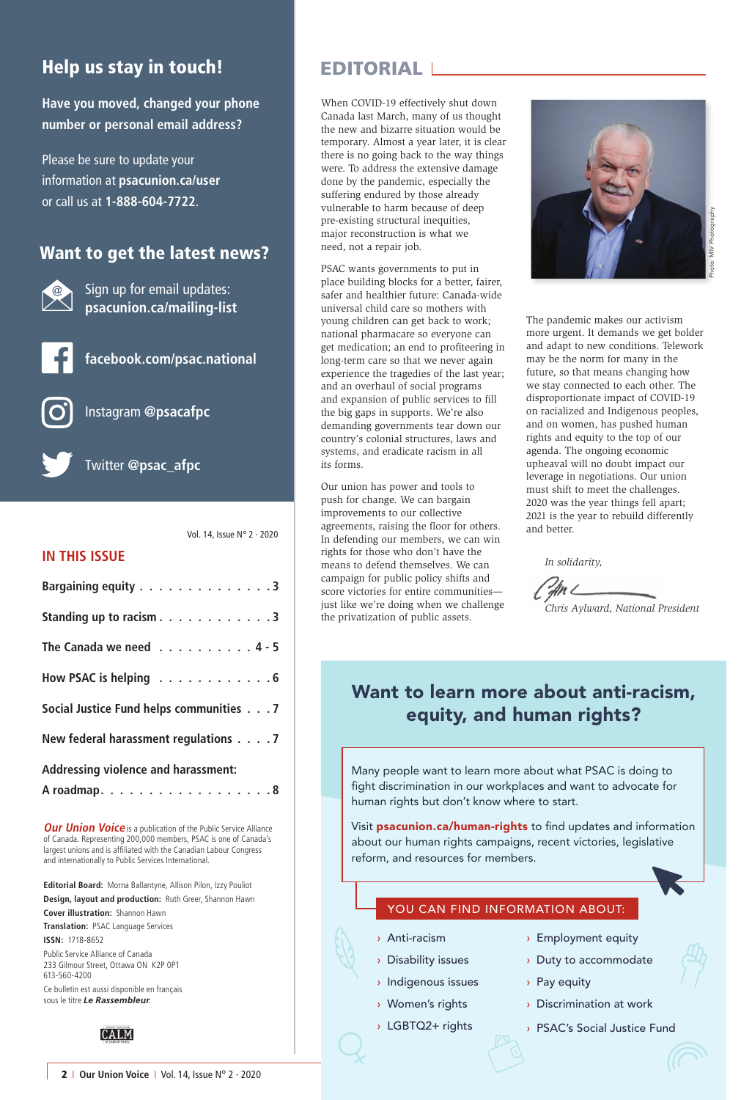# Help us stay in touch!

**Have you moved, changed your phone number or personal email address?**

Please be sure to update your information at **psacunion.ca/user** or call us at **1-888-604-7722**.

#### Want to get the latest news?



Sign up for email updates: **psacunion.ca/mailing-list**



**facebook.com/psac.national**



Instagram **@psacafpc**



Twitter **@psac\_afpc**

Vol. 14, Issue N° 2 · 2020

#### **IN THIS ISSUE**

| Bargaining equity 3                     |  |  |
|-----------------------------------------|--|--|
| Standing up to racism 3                 |  |  |
| The Canada we need 4 - 5                |  |  |
| How PSAC is helping 6                   |  |  |
| Social Justice Fund helps communities 7 |  |  |
| New federal harassment regulations 7    |  |  |
| Addressing violence and harassment:     |  |  |
| A roadmap. 8                            |  |  |

**Our Union Voice** is a publication of the Public Service Alliance of Canada. Representing 200,000 members, PSAC is one of Canada's largest unions and is affiliated with the Canadian Labour Congress and internationally to Public Services International.

**Editorial Board:** Morna Ballantyne, Allison Pilon, Izzy Pouliot **Design, layout and production:** Ruth Greer, Shannon Hawn **Cover illustration:** Shannon Hawn

**Translation:** PSAC Language Services **ISSN:** 1718-8652 Public Service Alliance of Canada 233 Gilmour Street, Ottawa ON K2P 0P1 613-560-4200

Ce bulletin est aussi disponible en français sous le titre *Le Rassembleur*.



## EDITORIAL

When COVID-19 effectively shut down Canada last March, many of us thought the new and bizarre situation would be temporary. Almost a year later, it is clear there is no going back to the way things were. To address the extensive damage done by the pandemic, especially the suffering endured by those already vulnerable to harm because of deep pre-existing structural inequities, major reconstruction is what we need, not a repair job.

PSAC wants governments to put in place building blocks for a better, fairer, safer and healthier future: Canada-wide universal child care so mothers with young children can get back to work; national pharmacare so everyone can get medication; an end to profiteering in long-term care so that we never again experience the tragedies of the last year; and an overhaul of social programs and expansion of public services to fill the big gaps in supports. We're also demanding governments tear down our country's colonial structures, laws and systems, and eradicate racism in all its forms.

Our union has power and tools to push for change. We can bargain improvements to our collective agreements, raising the floor for others. In defending our members, we can win rights for those who don't have the means to defend themselves. We can campaign for public policy shifts and score victories for entire communities just like we're doing when we challenge the privatization of public assets.



The pandemic makes our activism more urgent. It demands we get bolder and adapt to new conditions. Telework may be the norm for many in the future, so that means changing how we stay connected to each other. The disproportionate impact of COVID-19 on racialized and Indigenous peoples, and on women, has pushed human rights and equity to the top of our agenda. The ongoing economic upheaval will no doubt impact our leverage in negotiations. Our union must shift to meet the challenges. 2020 was the year things fell apart; 2021 is the year to rebuild differently and better.

*In solidarity,*

*Chris Aylward, National President*

# Want to learn more about anti-racism, equity, and human rights?

Many people want to learn more about what PSAC is doing to fight discrimination in our workplaces and want to advocate for human rights but don't know where to start.

Visit **psacunion.ca/human-rights** to find updates and information about our human rights campaigns, recent victories, legislative reform, and resources for members.

#### YOU CAN FIND INFORMATION ABOUT:

- › Anti-racism
- › Disability issues
- › Indigenous issues
- › Women's rights
- › LGBTQ2+ rights
- › Employment equity
- › Duty to accommodate
- › Pay equity
- › Discrimination at work
- › PSAC's Social Justice Fund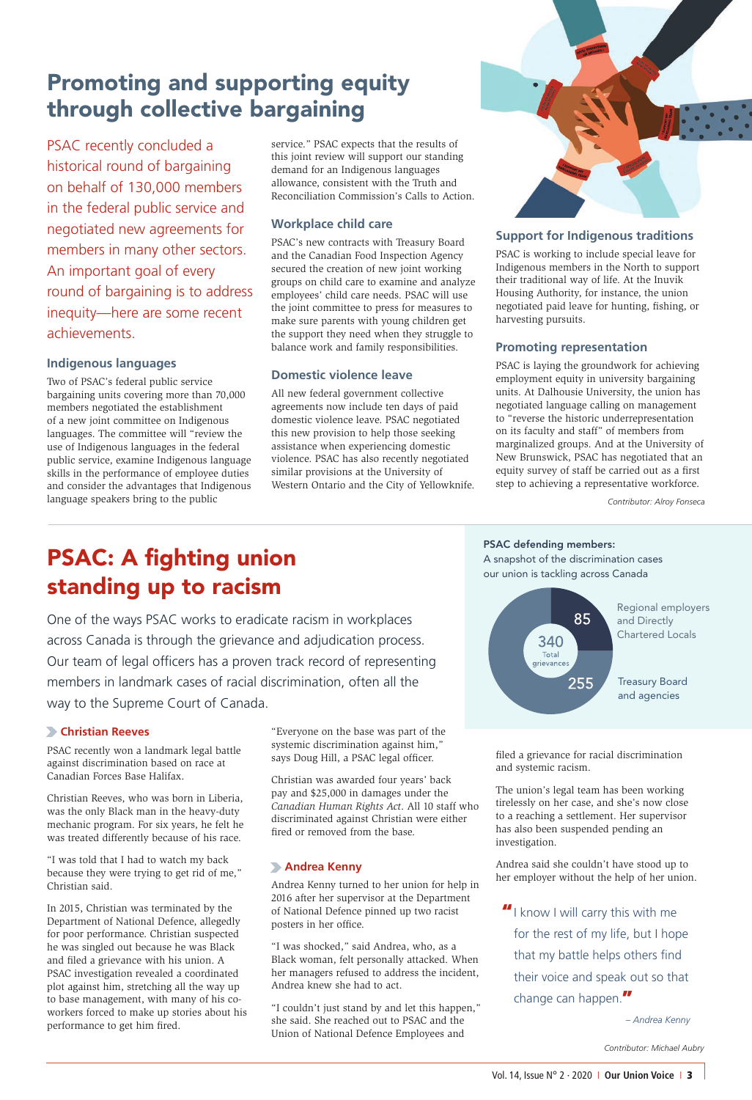# Promoting and supporting equity through collective bargaining

PSAC recently concluded a historical round of bargaining on behalf of 130,000 members in the federal public service and negotiated new agreements for members in many other sectors. An important goal of every round of bargaining is to address inequity—here are some recent achievements.

#### **Indigenous languages**

Two of PSAC's federal public service bargaining units covering more than 70,000 members negotiated the establishment of a new joint committee on Indigenous languages. The committee will "review the use of Indigenous languages in the federal public service, examine Indigenous language skills in the performance of employee duties and consider the advantages that Indigenous language speakers bring to the public

service." PSAC expects that the results of this joint review will support our standing demand for an Indigenous languages allowance, consistent with the Truth and Reconciliation Commission's Calls to Action.

#### **Workplace child care**

PSAC's new contracts with Treasury Board and the Canadian Food Inspection Agency secured the creation of new joint working groups on child care to examine and analyze employees' child care needs. PSAC will use the joint committee to press for measures to make sure parents with young children get the support they need when they struggle to balance work and family responsibilities.

#### **Domestic violence leave**

All new federal government collective agreements now include ten days of paid domestic violence leave. PSAC negotiated this new provision to help those seeking assistance when experiencing domestic violence. PSAC has also recently negotiated similar provisions at the University of Western Ontario and the City of Yellowknife.



#### **Support for Indigenous traditions**

PSAC is working to include special leave for Indigenous members in the North to support their traditional way of life. At the Inuvik Housing Authority, for instance, the union negotiated paid leave for hunting, fishing, or harvesting pursuits.

#### **Promoting representation**

PSAC is laying the groundwork for achieving employment equity in university bargaining units. At Dalhousie University, the union has negotiated language calling on management to "reverse the historic underrepresentation on its faculty and staff" of members from marginalized groups. And at the University of New Brunswick, PSAC has negotiated that an equity survey of staff be carried out as a first step to achieving a representative workforce.

*Contributor: Alroy Fonseca*

# PSAC: A fighting union standing up to racism

One of the ways PSAC works to eradicate racism in workplaces across Canada is through the grievance and adjudication process. Our team of legal officers has a proven track record of representing members in landmark cases of racial discrimination, often all the way to the Supreme Court of Canada.

#### **Christian Reeves**

PSAC recently won a landmark legal battle against discrimination based on race at Canadian Forces Base Halifax.

Christian Reeves, who was born in Liberia, was the only Black man in the heavy-duty mechanic program. For six years, he felt he was treated differently because of his race.

"I was told that I had to watch my back because they were trying to get rid of me," Christian said.

In 2015, Christian was terminated by the Department of National Defence, allegedly for poor performance. Christian suspected he was singled out because he was Black and filed a grievance with his union. A PSAC investigation revealed a coordinated plot against him, stretching all the way up to base management, with many of his coworkers forced to make up stories about his performance to get him fired.

"Everyone on the base was part of the systemic discrimination against him," says Doug Hill, a PSAC legal officer.

Christian was awarded four years' back pay and \$25,000 in damages under the *Canadian Human Rights Act*. All 10 staff who discriminated against Christian were either fired or removed from the base.

#### **Andrea Kenny**

Andrea Kenny turned to her union for help in 2016 after her supervisor at the Department of National Defence pinned up two racist posters in her office.

"I was shocked," said Andrea, who, as a Black woman, felt personally attacked. When her managers refused to address the incident, Andrea knew she had to act.

"I couldn't just stand by and let this happen," she said. She reached out to PSAC and the Union of National Defence Employees and

PSAC defending members:

A snapshot of the discrimination cases our union is tackling across Canada



filed a grievance for racial discrimination and systemic racism.

The union's legal team has been working tirelessly on her case, and she's now close to a reaching a settlement. Her supervisor has also been suspended pending an investigation.

Andrea said she couldn't have stood up to her employer without the help of her union.

"I know I will carry this with me for the rest of my life, but I hope

that my battle helps others find their voice and speak out so that change can happen."

*– Andrea Kenny*

*Contributor: Michael Aubry*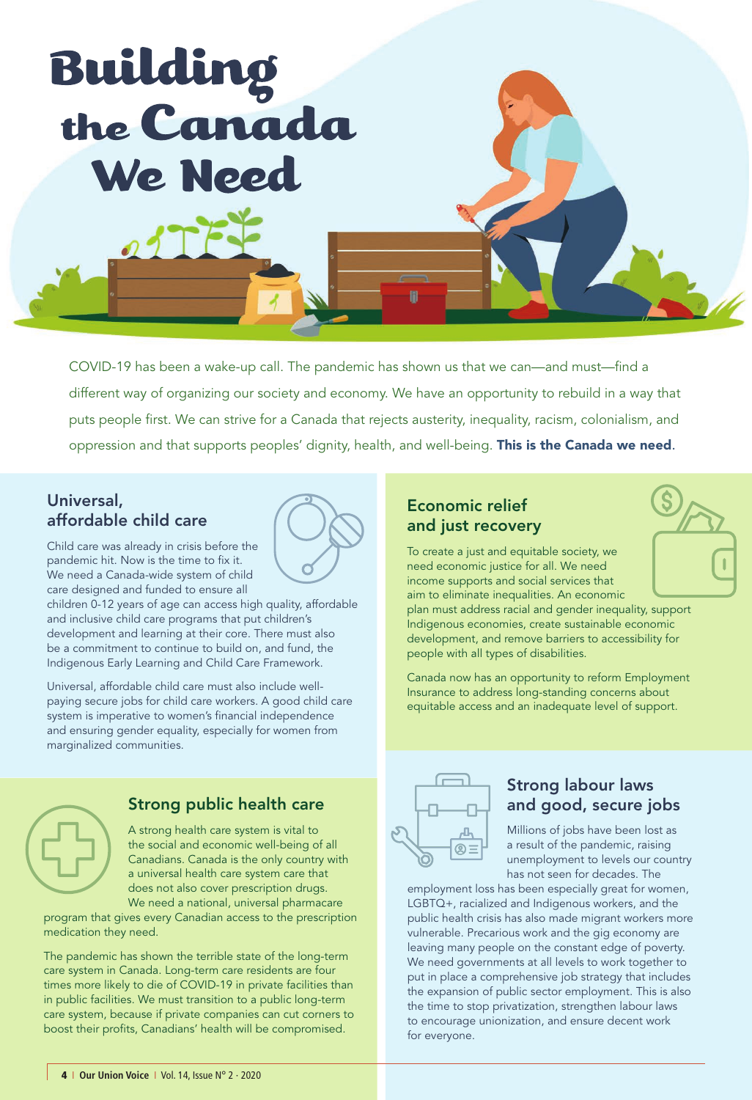

COVID-19 has been a wake-up call. The pandemic has shown us that we can—and must—find a different way of organizing our society and economy. We have an opportunity to rebuild in a way that puts people first. We can strive for a Canada that rejects austerity, inequality, racism, colonialism, and oppression and that supports peoples' dignity, health, and well-being. This is the Canada we need.

#### Universal, affordable child care

Child care was already in crisis before the pandemic hit. Now is the time to fix it. We need a Canada-wide system of child care designed and funded to ensure all

children 0-12 years of age can access high quality, affordable and inclusive child care programs that put children's development and learning at their core. There must also be a commitment to continue to build on, and fund, the Indigenous Early Learning and Child Care Framework.

Universal, affordable child care must also include wellpaying secure jobs for child care workers. A good child care system is imperative to women's financial independence and ensuring gender equality, especially for women from marginalized communities.



# Strong public health care

A strong health care system is vital to the social and economic well-being of all Canadians. Canada is the only country with a universal health care system care that does not also cover prescription drugs. We need a national, universal pharmacare

program that gives every Canadian access to the prescription medication they need.

The pandemic has shown the terrible state of the long-term care system in Canada. Long-term care residents are four times more likely to die of COVID-19 in private facilities than in public facilities. We must transition to a public long-term care system, because if private companies can cut corners to boost their profits, Canadians' health will be compromised.

## Economic relief and just recovery

To create a just and equitable society, we need economic justice for all. We need income supports and social services that aim to eliminate inequalities. An economic

plan must address racial and gender inequality, support Indigenous economies, create sustainable economic development, and remove barriers to accessibility for people with all types of disabilities.

Canada now has an opportunity to reform Employment Insurance to address long-standing concerns about equitable access and an inadequate level of support.



#### Strong labour laws and good, secure jobs

Millions of jobs have been lost as a result of the pandemic, raising unemployment to levels our country has not seen for decades. The

employment loss has been especially great for women, LGBTQ+, racialized and Indigenous workers, and the public health crisis has also made migrant workers more vulnerable. Precarious work and the gig economy are leaving many people on the constant edge of poverty. We need governments at all levels to work together to put in place a comprehensive job strategy that includes the expansion of public sector employment. This is also the time to stop privatization, strengthen labour laws to encourage unionization, and ensure decent work for everyone.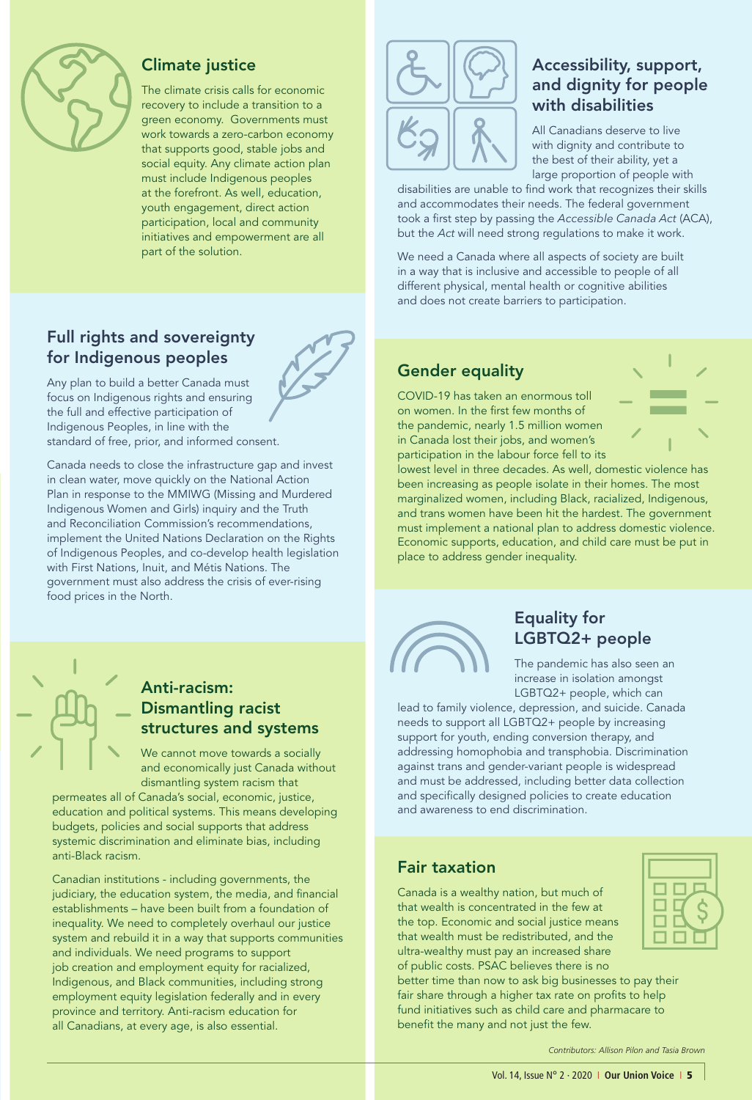

#### Climate justice

The climate crisis calls for economic recovery to include a transition to a green economy. Governments must work towards a zero-carbon economy that supports good, stable jobs and social equity. Any climate action plan must include Indigenous peoples at the forefront. As well, education, youth engagement, direct action participation, local and community initiatives and empowerment are all part of the solution.

## Full rights and sovereignty for Indigenous peoples

Any plan to build a better Canada must focus on Indigenous rights and ensuring the full and effective participation of Indigenous Peoples, in line with the standard of free, prior, and informed consent.

Canada needs to close the infrastructure gap and invest in clean water, move quickly on the National Action Plan in response to the MMIWG (Missing and Murdered Indigenous Women and Girls) inquiry and the Truth and Reconciliation Commission's recommendations, implement the United Nations Declaration on the Rights of Indigenous Peoples, and co-develop health legislation with First Nations, Inuit, and Métis Nations. The government must also address the crisis of ever-rising food prices in the North.



## Accessibility, support, and dignity for people with disabilities

All Canadians deserve to live with dignity and contribute to the best of their ability, yet a large proportion of people with

disabilities are unable to find work that recognizes their skills and accommodates their needs. The federal government took a first step by passing the *Accessible Canada Act* (ACA), but the *Act* will need strong regulations to make it work.

We need a Canada where all aspects of society are built in a way that is inclusive and accessible to people of all different physical, mental health or cognitive abilities and does not create barriers to participation.

## Gender equality

COVID-19 has taken an enormous toll on women. In the first few months of the pandemic, nearly 1.5 million women in Canada lost their jobs, and women's participation in the labour force fell to its



lowest level in three decades. As well, domestic violence has been increasing as people isolate in their homes. The most marginalized women, including Black, racialized, Indigenous, and trans women have been hit the hardest. The government must implement a national plan to address domestic violence. Economic supports, education, and child care must be put in place to address gender inequality.



## Equality for LGBTQ2+ people

The pandemic has also seen an increase in isolation amongst LGBTQ2+ people, which can

lead to family violence, depression, and suicide. Canada needs to support all LGBTQ2+ people by increasing support for youth, ending conversion therapy, and addressing homophobia and transphobia. Discrimination against trans and gender-variant people is widespread and must be addressed, including better data collection and specifically designed policies to create education and awareness to end discrimination.

## Fair taxation

Canada is a wealthy nation, but much of that wealth is concentrated in the few at the top. Economic and social justice means that wealth must be redistributed, and the ultra-wealthy must pay an increased share of public costs. PSAC believes there is no

better time than now to ask big businesses to pay their fair share through a higher tax rate on profits to help fund initiatives such as child care and pharmacare to benefit the many and not just the few.



*Contributors: Allison Pilon and Tasia Brown*

# Anti-racism: Dismantling racist structures and systems

We cannot move towards a socially and economically just Canada without dismantling system racism that

permeates all of Canada's social, economic, justice, education and political systems. This means developing budgets, policies and social supports that address systemic discrimination and eliminate bias, including anti-Black racism.

Canadian institutions - including governments, the judiciary, the education system, the media, and financial establishments – have been built from a foundation of inequality. We need to completely overhaul our justice system and rebuild it in a way that supports communities and individuals. We need programs to support job creation and employment equity for racialized, Indigenous, and Black communities, including strong employment equity legislation federally and in every province and territory. Anti-racism education for all Canadians, at every age, is also essential.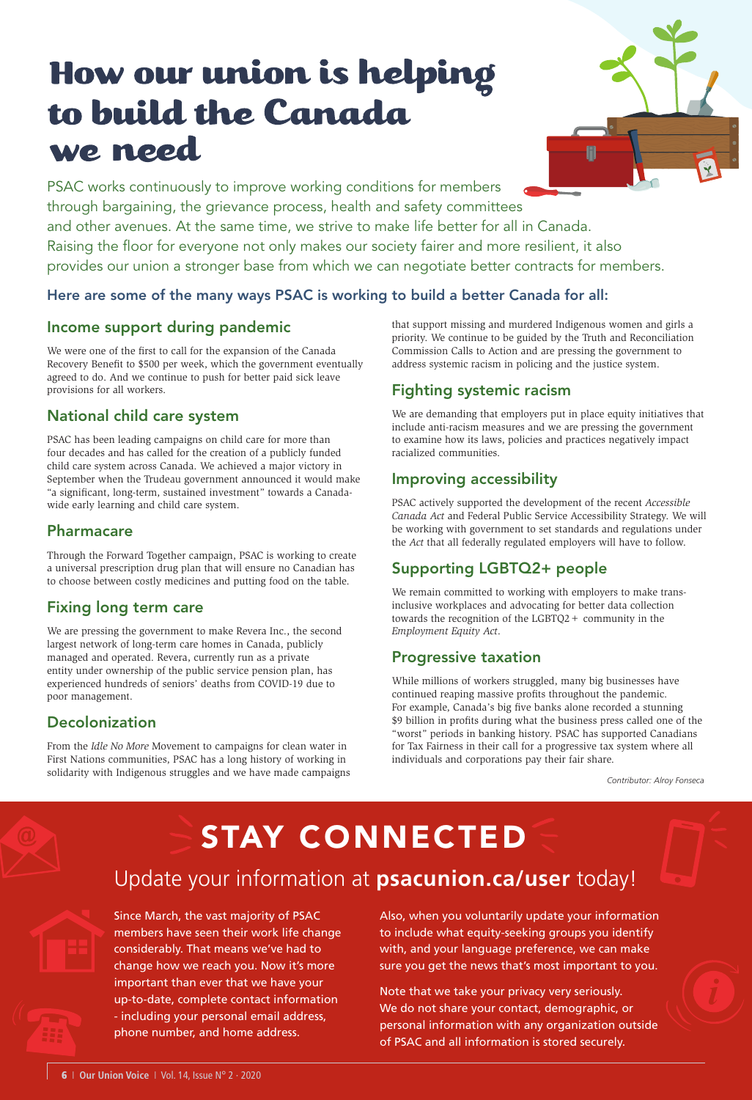# How our union is helping to build the Canada we need

PSAC works continuously to improve working conditions for members through bargaining, the grievance process, health and safety committees and other avenues. At the same time, we strive to make life better for all in Canada. Raising the floor for everyone not only makes our society fairer and more resilient, it also provides our union a stronger base from which we can negotiate better contracts for members.

#### Here are some of the many ways PSAC is working to build a better Canada for all:

#### Income support during pandemic

We were one of the first to call for the expansion of the Canada Recovery Benefit to \$500 per week, which the government eventually agreed to do. And we continue to push for better paid sick leave provisions for all workers.

#### National child care system

PSAC has been leading campaigns on child care for more than four decades and has called for the creation of a publicly funded child care system across Canada. We achieved a major victory in September when the Trudeau government announced it would make "a significant, long-term, sustained investment" towards a Canadawide early learning and child care system.

#### Pharmacare

Through the Forward Together campaign, PSAC is working to create a universal prescription drug plan that will ensure no Canadian has to choose between costly medicines and putting food on the table.

#### Fixing long term care

We are pressing the government to make Revera Inc., the second largest network of long-term care homes in Canada, publicly managed and operated. Revera, currently run as a private entity under ownership of the public service pension plan, has experienced hundreds of seniors' deaths from COVID-19 due to poor management.

#### Decolonization

From the *Idle No More* Movement to campaigns for clean water in First Nations communities, PSAC has a long history of working in solidarity with Indigenous struggles and we have made campaigns that support missing and murdered Indigenous women and girls a priority. We continue to be guided by the Truth and Reconciliation Commission Calls to Action and are pressing the government to address systemic racism in policing and the justice system.

## Fighting systemic racism

We are demanding that employers put in place equity initiatives that include anti-racism measures and we are pressing the government to examine how its laws, policies and practices negatively impact racialized communities.

#### Improving accessibility

PSAC actively supported the development of the recent *Accessible Canada Act* and Federal Public Service Accessibility Strategy. We will be working with government to set standards and regulations under the *Act* that all federally regulated employers will have to follow.

#### Supporting LGBTQ2+ people

We remain committed to working with employers to make transinclusive workplaces and advocating for better data collection towards the recognition of the LGBTQ2+ community in the *Employment Equity Act*.

#### Progressive taxation

While millions of workers struggled, many big businesses have continued reaping massive profits throughout the pandemic. For example, Canada's big five banks alone recorded a stunning \$9 billion in profits during what the business press called one of the "worst" periods in banking history. PSAC has supported Canadians for Tax Fairness in their call for a progressive tax system where all individuals and corporations pay their fair share.

*Contributor: Alroy Fonseca*

# STAY CONNECTED Update your information at **psacunion.ca/user** today!

Since March, the vast majority of PSAC members have seen their work life change considerably. That means we've had to change how we reach you. Now it's more important than ever that we have your up-to-date, complete contact information - including your personal email address, phone number, and home address.

Also, when you voluntarily update your information to include what equity-seeking groups you identify with, and your language preference, we can make sure you get the news that's most important to you.

Note that we take your privacy very seriously. We do not share your contact, demographic, or personal information with any organization outside of PSAC and all information is stored securely.

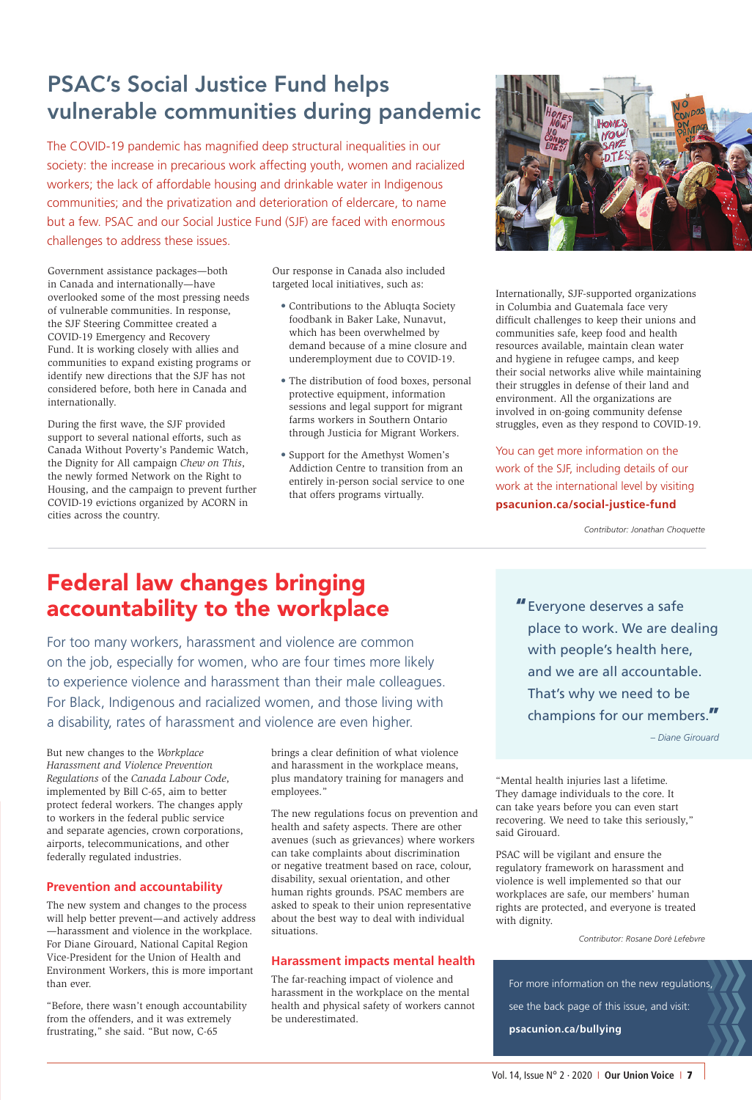# PSAC's Social Justice Fund helps vulnerable communities during pandemic

The COVID-19 pandemic has magnified deep structural inequalities in our society: the increase in precarious work affecting youth, women and racialized workers; the lack of affordable housing and drinkable water in Indigenous communities; and the privatization and deterioration of eldercare, to name but a few. PSAC and our Social Justice Fund (SJF) are faced with enormous challenges to address these issues.

Government assistance packages—both in Canada and internationally—have overlooked some of the most pressing needs of vulnerable communities. In response, the SJF Steering Committee created a COVID-19 Emergency and Recovery Fund. It is working closely with allies and communities to expand existing programs or identify new directions that the SJF has not considered before, both here in Canada and internationally.

During the first wave, the SJF provided support to several national efforts, such as Canada Without Poverty's Pandemic Watch, the Dignity for All campaign *Chew on This*, the newly formed Network on the Right to Housing, and the campaign to prevent further COVID-19 evictions organized by ACORN in cities across the country.

Our response in Canada also included targeted local initiatives, such as:

- Contributions to the Abluqta Society foodbank in Baker Lake, Nunavut, which has been overwhelmed by demand because of a mine closure and underemployment due to COVID-19.
- The distribution of food boxes, personal protective equipment, information sessions and legal support for migrant farms workers in Southern Ontario through Justicia for Migrant Workers.
- Support for the Amethyst Women's Addiction Centre to transition from an entirely in-person social service to one that offers programs virtually.



Internationally, SJF-supported organizations in Columbia and Guatemala face very difficult challenges to keep their unions and communities safe, keep food and health resources available, maintain clean water and hygiene in refugee camps, and keep their social networks alive while maintaining their struggles in defense of their land and environment. All the organizations are involved in on-going community defense struggles, even as they respond to COVID-19.

You can get more information on the work of the SJF, including details of our work at the international level by visiting **psacunion.ca/social-justice-fund** 

*Contributor: Jonathan Choquette*

# Federal law changes bringing accountability to the workplace

For too many workers, harassment and violence are common on the job, especially for women, who are four times more likely to experience violence and harassment than their male colleagues. For Black, Indigenous and racialized women, and those living with a disability, rates of harassment and violence are even higher.

But new changes to the *Workplace Harassment and Violence Prevention Regulations* of the *Canada Labour Code*, implemented by Bill C-65, aim to better protect federal workers. The changes apply to workers in the federal public service and separate agencies, crown corporations, airports, telecommunications, and other federally regulated industries.

#### **Prevention and accountability**

The new system and changes to the process will help better prevent—and actively address —harassment and violence in the workplace. For Diane Girouard, National Capital Region Vice-President for the Union of Health and Environment Workers, this is more important than ever.

"Before, there wasn't enough accountability from the offenders, and it was extremely frustrating," she said. "But now, C-65

brings a clear definition of what violence and harassment in the workplace means, plus mandatory training for managers and employees."

The new regulations focus on prevention and health and safety aspects. There are other avenues (such as grievances) where workers can take complaints about discrimination or negative treatment based on race, colour, disability, sexual orientation, and other human rights grounds. PSAC members are asked to speak to their union representative about the best way to deal with individual situations.

#### **Harassment impacts mental health**

The far-reaching impact of violence and harassment in the workplace on the mental health and physical safety of workers cannot be underestimated.

"Everyone deserves a safe place to work. We are dealing with people's health here, and we are all accountable. That's why we need to be champions for our members."

*– Diane Girouard*

"Mental health injuries last a lifetime. They damage individuals to the core. It can take years before you can even start recovering. We need to take this seriously," said Girouard.

PSAC will be vigilant and ensure the regulatory framework on harassment and violence is well implemented so that our workplaces are safe, our members' human rights are protected, and everyone is treated with dignity.

*Contributor: Rosane Doré Lefebvre*

For more information on the new regulations, see the back page of this issue, and visit:

**psacunion.ca/bullying**